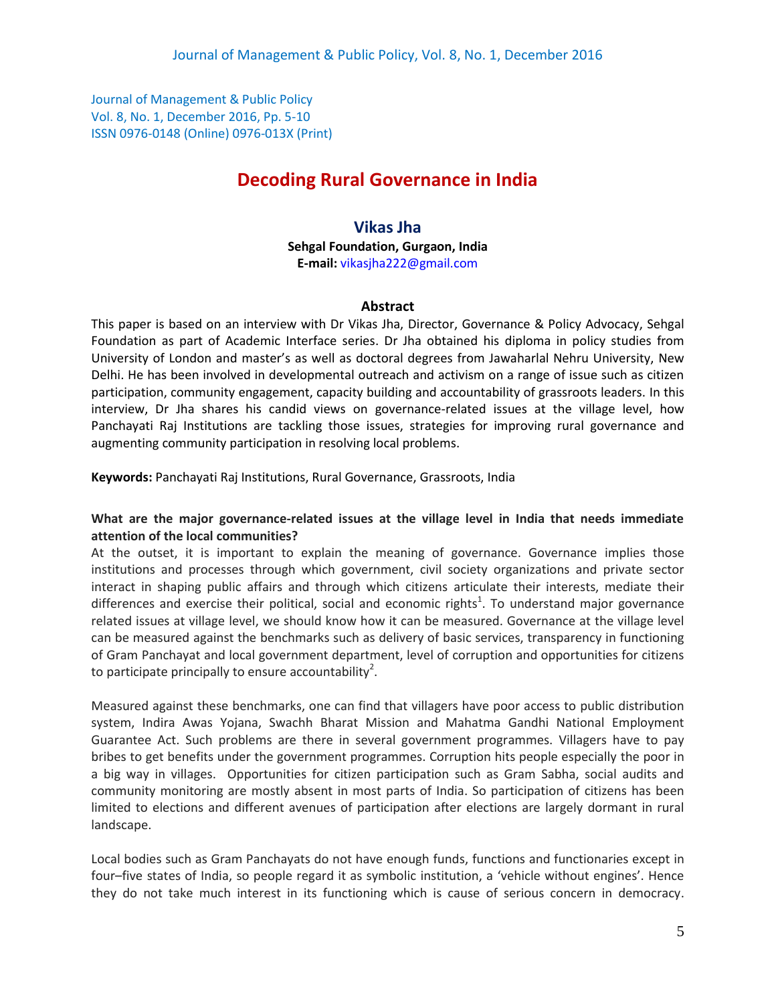Journal of Management & Public Policy Vol. 8, No. 1, December 2016, Pp. 5-10 ISSN 0976-0148 (Online) 0976-013X (Print)

# **Decoding Rural Governance in India**

# **Vikas Jha**

**Sehgal Foundation, Gurgaon, India E-mail:** [vikasjha222@gmail.com](mailto:vikasjha222@gmail.com)

#### **Abstract**

This paper is based on an interview with Dr Vikas Jha, Director, Governance & Policy Advocacy, Sehgal Foundation as part of Academic Interface series. Dr Jha obtained his diploma in policy studies from University of London and master's as well as doctoral degrees from Jawaharlal Nehru University, New Delhi. He has been involved in developmental outreach and activism on a range of issue such as citizen participation, community engagement, capacity building and accountability of grassroots leaders. In this interview, Dr Jha shares his candid views on governance-related issues at the village level, how Panchayati Raj Institutions are tackling those issues, strategies for improving rural governance and augmenting community participation in resolving local problems.

**Keywords:** Panchayati Raj Institutions, Rural Governance, Grassroots, India

## **What are the major governance-related issues at the village level in India that needs immediate attention of the local communities?**

At the outset, it is important to explain the meaning of governance. Governance implies those institutions and processes through which government, civil society organizations and private sector interact in shaping public affairs and through which citizens articulate their interests, mediate their differences and exercise their political, social and economic rights<sup>1</sup>. To understand major governance related issues at village level, we should know how it can be measured. Governance at the village level can be measured against the benchmarks such as delivery of basic services, transparency in functioning of Gram Panchayat and local government department, level of corruption and opportunities for citizens to participate principally to ensure accountability<sup>2</sup>.

Measured against these benchmarks, one can find that villagers have poor access to public distribution system, Indira Awas Yojana, Swachh Bharat Mission and Mahatma Gandhi National Employment Guarantee Act. Such problems are there in several government programmes. Villagers have to pay bribes to get benefits under the government programmes. Corruption hits people especially the poor in a big way in villages. Opportunities for citizen participation such as Gram Sabha, social audits and community monitoring are mostly absent in most parts of India. So participation of citizens has been limited to elections and different avenues of participation after elections are largely dormant in rural landscape.

Local bodies such as Gram Panchayats do not have enough funds, functions and functionaries except in four–five states of India, so people regard it as symbolic institution, a 'vehicle without engines'. Hence they do not take much interest in its functioning which is cause of serious concern in democracy.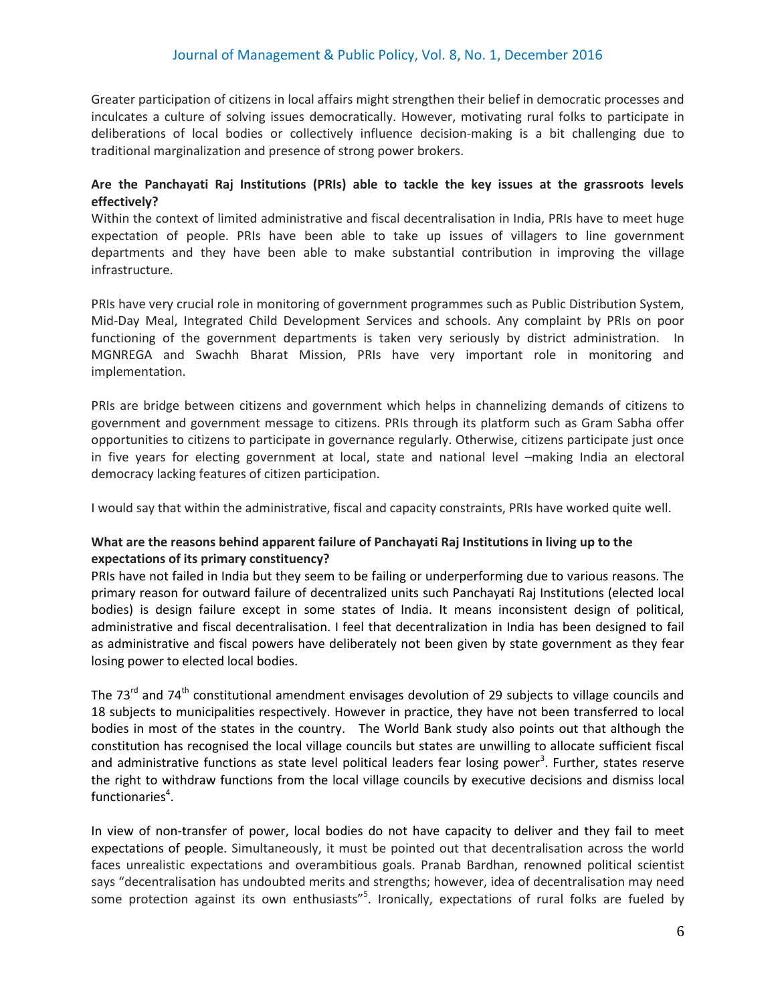Greater participation of citizens in local affairs might strengthen their belief in democratic processes and inculcates a culture of solving issues democratically. However, motivating rural folks to participate in deliberations of local bodies or collectively influence decision-making is a bit challenging due to traditional marginalization and presence of strong power brokers.

### **Are the Panchayati Raj Institutions (PRIs) able to tackle the key issues at the grassroots levels effectively?**

Within the context of limited administrative and fiscal decentralisation in India, PRIs have to meet huge expectation of people. PRIs have been able to take up issues of villagers to line government departments and they have been able to make substantial contribution in improving the village infrastructure.

PRIs have very crucial role in monitoring of government programmes such as Public Distribution System, Mid-Day Meal, Integrated Child Development Services and schools. Any complaint by PRIs on poor functioning of the government departments is taken very seriously by district administration. In MGNREGA and Swachh Bharat Mission, PRIs have very important role in monitoring and implementation.

PRIs are bridge between citizens and government which helps in channelizing demands of citizens to government and government message to citizens. PRIs through its platform such as Gram Sabha offer opportunities to citizens to participate in governance regularly. Otherwise, citizens participate just once in five years for electing government at local, state and national level –making India an electoral democracy lacking features of citizen participation.

I would say that within the administrative, fiscal and capacity constraints, PRIs have worked quite well.

# **What are the reasons behind apparent failure of Panchayati Raj Institutions in living up to the expectations of its primary constituency?**

PRIs have not failed in India but they seem to be failing or underperforming due to various reasons. The primary reason for outward failure of decentralized units such Panchayati Raj Institutions (elected local bodies) is design failure except in some states of India. It means inconsistent design of political, administrative and fiscal decentralisation. I feel that decentralization in India has been designed to fail as administrative and fiscal powers have deliberately not been given by state government as they fear losing power to elected local bodies.

The 73<sup>rd</sup> and 74<sup>th</sup> constitutional amendment envisages devolution of 29 subjects to village councils and 18 subjects to municipalities respectively. However in practice, they have not been transferred to local bodies in most of the states in the country. The World Bank study also points out that although the constitution has recognised the local village councils but states are unwilling to allocate sufficient fiscal and administrative functions as state level political leaders fear losing power<sup>3</sup>. Further, states reserve the right to withdraw functions from the local village councils by executive decisions and dismiss local functionaries<sup>4</sup>.

In view of non-transfer of power, local bodies do not have capacity to deliver and they fail to meet expectations of people. Simultaneously, it must be pointed out that decentralisation across the world faces unrealistic expectations and overambitious goals. Pranab Bardhan, renowned political scientist says "decentralisation has undoubted merits and strengths; however, idea of decentralisation may need some protection against its own enthusiasts"<sup>5</sup>. Ironically, expectations of rural folks are fueled by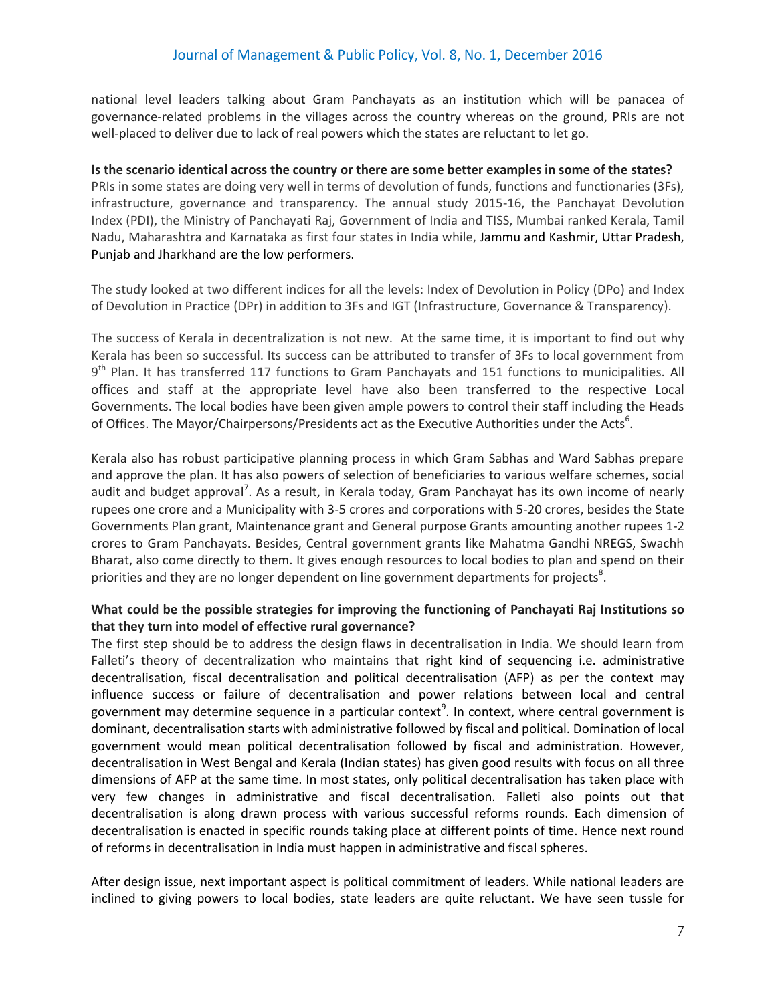national level leaders talking about Gram Panchayats as an institution which will be panacea of governance-related problems in the villages across the country whereas on the ground, PRIs are not well-placed to deliver due to lack of real powers which the states are reluctant to let go.

**Is the scenario identical across the country or there are some better examples in some of the states?** PRIs in some states are doing very well in terms of devolution of funds, functions and functionaries (3Fs), infrastructure, governance and transparency. The annual study 2015-16, the Panchayat Devolution Index (PDI), the Ministry of Panchayati Raj, Government of India and TISS, Mumbai ranked Kerala, Tamil Nadu, Maharashtra and Karnataka as first four states in India while, Jammu and Kashmir, Uttar Pradesh, Punjab and Jharkhand are the low performers.

The study looked at two different indices for all the levels: Index of Devolution in Policy (DPo) and Index of Devolution in Practice (DPr) in addition to 3Fs and IGT (Infrastructure, Governance & Transparency).

The success of Kerala in decentralization is not new. At the same time, it is important to find out why Kerala has been so successful. Its success can be attributed to transfer of 3Fs to local government from 9<sup>th</sup> Plan. It has transferred 117 functions to Gram Panchayats and 151 functions to municipalities. All offices and staff at the appropriate level have also been transferred to the respective Local Governments. The local bodies have been given ample powers to control their staff including the Heads of Offices. The Mayor/Chairpersons/Presidents act as the Executive Authorities under the Acts<sup>6</sup>.

Kerala also has robust participative planning process in which Gram Sabhas and Ward Sabhas prepare and approve the plan. It has also powers of selection of beneficiaries to various welfare schemes, social audit and budget approval<sup>7</sup>. As a result, in Kerala today, Gram Panchayat has its own income of nearly rupees one crore and a Municipality with 3-5 crores and corporations with 5-20 crores, besides the State Governments Plan grant, Maintenance grant and General purpose Grants amounting another rupees 1-2 crores to Gram Panchayats. Besides, Central government grants like Mahatma Gandhi NREGS, Swachh Bharat, also come directly to them. It gives enough resources to local bodies to plan and spend on their priorities and they are no longer dependent on line government departments for projects<sup>8</sup>.

## **What could be the possible strategies for improving the functioning of Panchayati Raj Institutions so that they turn into model of effective rural governance?**

The first step should be to address the design flaws in decentralisation in India. We should learn from Falleti's theory of decentralization who maintains that right kind of sequencing i.e. administrative decentralisation, fiscal decentralisation and political decentralisation (AFP) as per the context may influence success or failure of decentralisation and power relations between local and central government may determine sequence in a particular context<sup>9</sup>. In context, where central government is dominant, decentralisation starts with administrative followed by fiscal and political. Domination of local government would mean political decentralisation followed by fiscal and administration. However, decentralisation in West Bengal and Kerala (Indian states) has given good results with focus on all three dimensions of AFP at the same time. In most states, only political decentralisation has taken place with very few changes in administrative and fiscal decentralisation. Falleti also points out that decentralisation is along drawn process with various successful reforms rounds. Each dimension of decentralisation is enacted in specific rounds taking place at different points of time. Hence next round of reforms in decentralisation in India must happen in administrative and fiscal spheres.

After design issue, next important aspect is political commitment of leaders. While national leaders are inclined to giving powers to local bodies, state leaders are quite reluctant. We have seen tussle for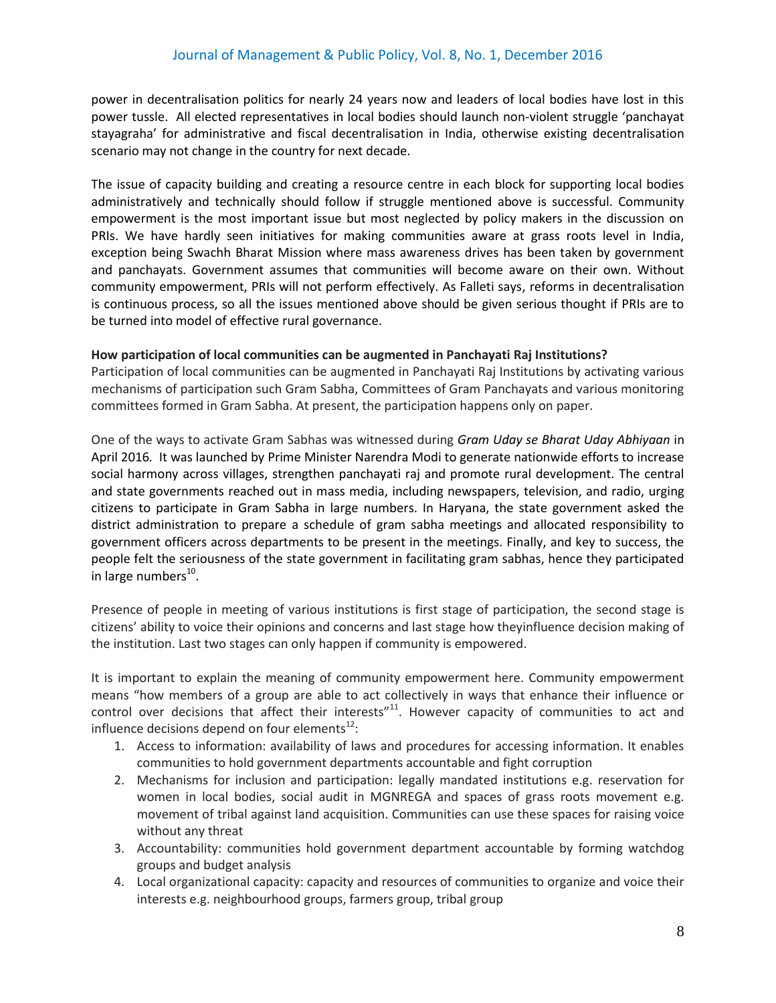power in decentralisation politics for nearly 24 years now and leaders of local bodies have lost in this power tussle. All elected representatives in local bodies should launch non-violent struggle 'panchayat stayagraha' for administrative and fiscal decentralisation in India, otherwise existing decentralisation scenario may not change in the country for next decade.

The issue of capacity building and creating a resource centre in each block for supporting local bodies administratively and technically should follow if struggle mentioned above is successful. Community empowerment is the most important issue but most neglected by policy makers in the discussion on PRIs. We have hardly seen initiatives for making communities aware at grass roots level in India, exception being Swachh Bharat Mission where mass awareness drives has been taken by government and panchayats. Government assumes that communities will become aware on their own. Without community empowerment, PRIs will not perform effectively. As Falleti says, reforms in decentralisation is continuous process, so all the issues mentioned above should be given serious thought if PRIs are to be turned into model of effective rural governance.

#### **How participation of local communities can be augmented in Panchayati Raj Institutions?**

Participation of local communities can be augmented in Panchayati Raj Institutions by activating various mechanisms of participation such Gram Sabha, Committees of Gram Panchayats and various monitoring committees formed in Gram Sabha. At present, the participation happens only on paper.

One of the ways to activate Gram Sabhas was witnessed during *Gram Uday se Bharat Uday Abhiyaan* in April 2016*.* It was launched by Prime Minister Narendra Modi to generate nationwide efforts to increase social harmony across villages, strengthen panchayati raj and promote rural development. The central and state governments reached out in mass media, including newspapers, television, and radio, urging citizens to participate in Gram Sabha in large numbers. In Haryana, the state government asked the district administration to prepare a schedule of gram sabha meetings and allocated responsibility to government officers across departments to be present in the meetings. Finally, and key to success, the people felt the seriousness of the state government in facilitating gram sabhas, hence they participated in large numbers<sup>10</sup>.

Presence of people in meeting of various institutions is first stage of participation, the second stage is citizens' ability to voice their opinions and concerns and last stage how theyinfluence decision making of the institution. Last two stages can only happen if community is empowered.

It is important to explain the meaning of community empowerment here. Community empowerment means "how members of a group are able to act collectively in ways that enhance their influence or control over decisions that affect their interests" $^{11}$ . However capacity of communities to act and influence decisions depend on four elements $^{12}$ :

- 1. Access to information: availability of laws and procedures for accessing information. It enables communities to hold government departments accountable and fight corruption
- 2. Mechanisms for inclusion and participation: legally mandated institutions e.g. reservation for women in local bodies, social audit in MGNREGA and spaces of grass roots movement e.g. movement of tribal against land acquisition. Communities can use these spaces for raising voice without any threat
- 3. Accountability: communities hold government department accountable by forming watchdog groups and budget analysis
- 4. Local organizational capacity: capacity and resources of communities to organize and voice their interests e.g. neighbourhood groups, farmers group, tribal group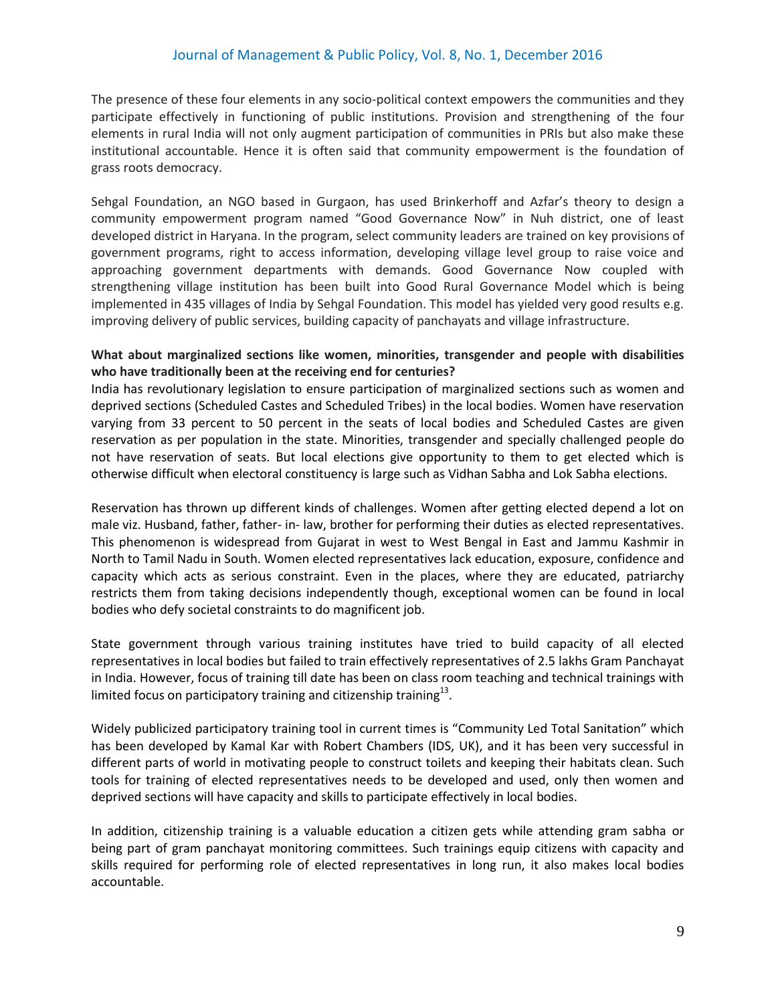## Journal of Management & Public Policy, Vol. 8, No. 1, December 2016

The presence of these four elements in any socio-political context empowers the communities and they participate effectively in functioning of public institutions. Provision and strengthening of the four elements in rural India will not only augment participation of communities in PRIs but also make these institutional accountable. Hence it is often said that community empowerment is the foundation of grass roots democracy.

Sehgal Foundation, an NGO based in Gurgaon, has used Brinkerhoff and Azfar's theory to design a community empowerment program named "Good Governance Now" in Nuh district, one of least developed district in Haryana. In the program, select community leaders are trained on key provisions of government programs, right to access information, developing village level group to raise voice and approaching government departments with demands. Good Governance Now coupled with strengthening village institution has been built into Good Rural Governance Model which is being implemented in 435 villages of India by Sehgal Foundation. This model has yielded very good results e.g. improving delivery of public services, building capacity of panchayats and village infrastructure.

#### **What about marginalized sections like women, minorities, transgender and people with disabilities who have traditionally been at the receiving end for centuries?**

India has revolutionary legislation to ensure participation of marginalized sections such as women and deprived sections (Scheduled Castes and Scheduled Tribes) in the local bodies. Women have reservation varying from 33 percent to 50 percent in the seats of local bodies and Scheduled Castes are given reservation as per population in the state. Minorities, transgender and specially challenged people do not have reservation of seats. But local elections give opportunity to them to get elected which is otherwise difficult when electoral constituency is large such as Vidhan Sabha and Lok Sabha elections.

Reservation has thrown up different kinds of challenges. Women after getting elected depend a lot on male viz. Husband, father, father- in- law, brother for performing their duties as elected representatives. This phenomenon is widespread from Gujarat in west to West Bengal in East and Jammu Kashmir in North to Tamil Nadu in South. Women elected representatives lack education, exposure, confidence and capacity which acts as serious constraint. Even in the places, where they are educated, patriarchy restricts them from taking decisions independently though, exceptional women can be found in local bodies who defy societal constraints to do magnificent job.

State government through various training institutes have tried to build capacity of all elected representatives in local bodies but failed to train effectively representatives of 2.5 lakhs Gram Panchayat in India. However, focus of training till date has been on class room teaching and technical trainings with limited focus on participatory training and citizenship training $^{13}$ .

Widely publicized participatory training tool in current times is "Community Led Total Sanitation" which has been developed by Kamal Kar with Robert Chambers (IDS, UK), and it has been very successful in different parts of world in motivating people to construct toilets and keeping their habitats clean. Such tools for training of elected representatives needs to be developed and used, only then women and deprived sections will have capacity and skills to participate effectively in local bodies.

In addition, citizenship training is a valuable education a citizen gets while attending gram sabha or being part of gram panchayat monitoring committees. Such trainings equip citizens with capacity and skills required for performing role of elected representatives in long run, it also makes local bodies accountable.